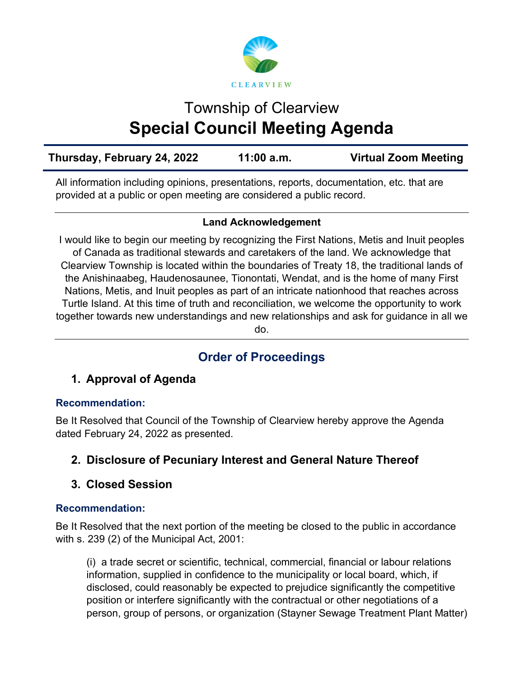

# Township of Clearview **Special Council Meeting Agenda**

| Thursday, February 24, 2022 | 11:00 a.m. | <b>Virtual Zoom Meeting</b> |
|-----------------------------|------------|-----------------------------|
|                             |            |                             |

All information including opinions, presentations, reports, documentation, etc. that are provided at a public or open meeting are considered a public record.

#### **Land Acknowledgement**

I would like to begin our meeting by recognizing the First Nations, Metis and Inuit peoples of Canada as traditional stewards and caretakers of the land. We acknowledge that Clearview Township is located within the boundaries of Treaty 18, the traditional lands of the Anishinaabeg, Haudenosaunee, Tionontati, Wendat, and is the home of many First Nations, Metis, and Inuit peoples as part of an intricate nationhood that reaches across Turtle Island. At this time of truth and reconciliation, we welcome the opportunity to work together towards new understandings and new relationships and ask for guidance in all we do.

## **Order of Proceedings**

## **1. Approval of Agenda**

#### **Recommendation:**

Be It Resolved that Council of the Township of Clearview hereby approve the Agenda dated February 24, 2022 as presented.

## **2. Disclosure of Pecuniary Interest and General Nature Thereof**

## **3. Closed Session**

#### **Recommendation:**

Be It Resolved that the next portion of the meeting be closed to the public in accordance with s. 239 (2) of the Municipal Act, 2001:

(i) a trade secret or scientific, technical, commercial, financial or labour relations information, supplied in confidence to the municipality or local board, which, if disclosed, could reasonably be expected to prejudice significantly the competitive position or interfere significantly with the contractual or other negotiations of a person, group of persons, or organization (Stayner Sewage Treatment Plant Matter)